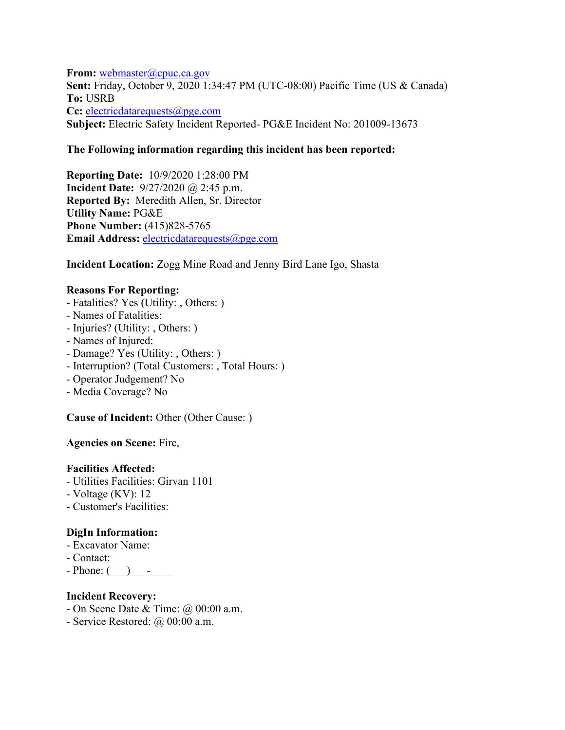**From:** [webmaster@cpuc.ca.gov](mailto:webmaster@cpuc.ca.gov) **Sent:** Friday, October 9, 2020 1:34:47 PM (UTC-08:00) Pacific Time (US & Canada) **To:** USRB **Cc:** [electricdatarequests@pge.com](mailto:electricdatarequests@pge.com) **Subject:** Electric Safety Incident Reported- PG&E Incident No: 201009-13673

#### **The Following information regarding this incident has been reported:**

**Reporting Date:** 10/9/2020 1:28:00 PM **Incident Date:** 9/27/2020 @ 2:45 p.m. **Reported By:** Meredith Allen, Sr. Director **Utility Name:** PG&E **Phone Number:** (415)828-5765 **Email Address:** [electricdatarequests@pge.com](mailto:electricdatarequests@pge.com)

#### **Incident Location:** Zogg Mine Road and Jenny Bird Lane Igo, Shasta

#### **Reasons For Reporting:**

- Fatalities? Yes (Utility: , Others: )
- Names of Fatalities:
- Injuries? (Utility: , Others: )
- Names of Injured:
- Damage? Yes (Utility: , Others: )
- Interruption? (Total Customers: , Total Hours: )
- Operator Judgement? No
- Media Coverage? No

**Cause of Incident:** Other (Other Cause: )

**Agencies on Scene:** Fire,

# **Facilities Affected:**

- Utilities Facilities: Girvan 1101
- Voltage (KV): 12
- Customer's Facilities:

# **DigIn Information:**

- Excavator Name:
- Contact:
- $-$  Phone: ( )  $-$

# **Incident Recovery:**

- On Scene Date & Time: @ 00:00 a.m.
- Service Restored: @ 00:00 a.m.